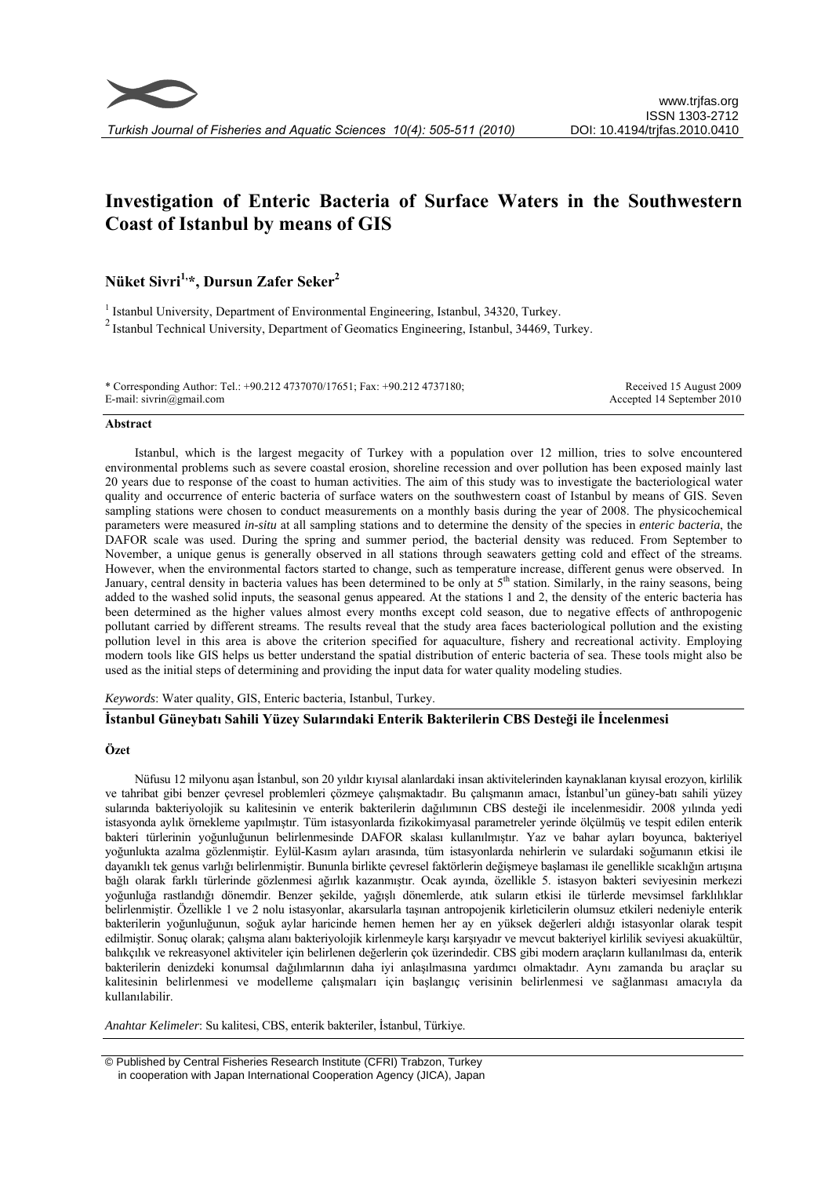

# **Investigation of Enteric Bacteria of Surface Waters in the Southwestern Coast of Istanbul by means of GIS**

**Nüket Sivri1,\*, Dursun Zafer Seker2**

<sup>1</sup> Istanbul University, Department of Environmental Engineering, Istanbul, 34320, Turkey. 2 Istanbul Technical University, Department of Geomatics Engineering, Istanbul, 34469, Turkey.

\* Corresponding Author: Tel.: +90.212 4737070/17651; Fax: +90.212 4737180; E-mail: sivrin@gmail.com Received 15 August 2009 Accepted 14 September 2010

#### **Abstract**

Istanbul, which is the largest megacity of Turkey with a population over 12 million, tries to solve encountered environmental problems such as severe coastal erosion, shoreline recession and over pollution has been exposed mainly last 20 years due to response of the coast to human activities. The aim of this study was to investigate the bacteriological water quality and occurrence of enteric bacteria of surface waters on the southwestern coast of Istanbul by means of GIS. Seven sampling stations were chosen to conduct measurements on a monthly basis during the year of 2008. The physicochemical parameters were measured *in-situ* at all sampling stations and to determine the density of the species in *enteric bacteria*, the DAFOR scale was used. During the spring and summer period, the bacterial density was reduced. From September to November, a unique genus is generally observed in all stations through seawaters getting cold and effect of the streams. However, when the environmental factors started to change, such as temperature increase, different genus were observed. In January, central density in bacteria values has been determined to be only at  $5<sup>th</sup>$  station. Similarly, in the rainy seasons, being added to the washed solid inputs, the seasonal genus appeared. At the stations 1 and 2, the density of the enteric bacteria has been determined as the higher values almost every months except cold season, due to negative effects of anthropogenic pollutant carried by different streams. The results reveal that the study area faces bacteriological pollution and the existing pollution level in this area is above the criterion specified for aquaculture, fishery and recreational activity. Employing modern tools like GIS helps us better understand the spatial distribution of enteric bacteria of sea. These tools might also be used as the initial steps of determining and providing the input data for water quality modeling studies.

*Keywords*: Water quality, GIS, Enteric bacteria, Istanbul, Turkey.

## **İstanbul Güneybatı Sahili Yüzey Sularındaki Enterik Bakterilerin CBS Desteği ile İncelenmesi**

#### **Özet**

Nüfusu 12 milyonu aşan İstanbul, son 20 yıldır kıyısal alanlardaki insan aktivitelerinden kaynaklanan kıyısal erozyon, kirlilik ve tahribat gibi benzer çevresel problemleri çözmeye çalışmaktadır. Bu çalışmanın amacı, İstanbul'un güney-batı sahili yüzey sularında bakteriyolojik su kalitesinin ve enterik bakterilerin dağılımının CBS desteği ile incelenmesidir. 2008 yılında yedi istasyonda aylık örnekleme yapılmıştır. Tüm istasyonlarda fizikokimyasal parametreler yerinde ölçülmüş ve tespit edilen enterik bakteri türlerinin yoğunluğunun belirlenmesinde DAFOR skalası kullanılmıştır. Yaz ve bahar ayları boyunca, bakteriyel yoğunlukta azalma gözlenmiştir. Eylül-Kasım ayları arasında, tüm istasyonlarda nehirlerin ve sulardaki soğumanın etkisi ile dayanıklı tek genus varlığı belirlenmiştir. Bununla birlikte çevresel faktörlerin değişmeye başlaması ile genellikle sıcaklığın artışına bağlı olarak farklı türlerinde gözlenmesi ağırlık kazanmıştır. Ocak ayında, özellikle 5. istasyon bakteri seviyesinin merkezi yoğunluğa rastlandığı dönemdir. Benzer şekilde, yağışlı dönemlerde, atık suların etkisi ile türlerde mevsimsel farklılıklar belirlenmiştir. Özellikle 1 ve 2 nolu istasyonlar, akarsularla taşınan antropojenik kirleticilerin olumsuz etkileri nedeniyle enterik bakterilerin yoğunluğunun, soğuk aylar haricinde hemen hemen her ay en yüksek değerleri aldığı istasyonlar olarak tespit edilmiştir. Sonuç olarak; çalışma alanı bakteriyolojik kirlenmeyle karşı karşıyadır ve mevcut bakteriyel kirlilik seviyesi akuakültür, balıkçılık ve rekreasyonel aktiviteler için belirlenen değerlerin çok üzerindedir. CBS gibi modern araçların kullanılması da, enterik bakterilerin denizdeki konumsal dağılımlarının daha iyi anlaşılmasına yardımcı olmaktadır. Aynı zamanda bu araçlar su kalitesinin belirlenmesi ve modelleme çalışmaları için başlangıç verisinin belirlenmesi ve sağlanması amacıyla da kullanılabilir.

*Anahtar Kelimeler*: Su kalitesi, CBS, enterik bakteriler, İstanbul, Türkiye.

 © Published by Central Fisheries Research Institute (CFRI) Trabzon, Turkey in cooperation with Japan International Cooperation Agency (JICA), Japan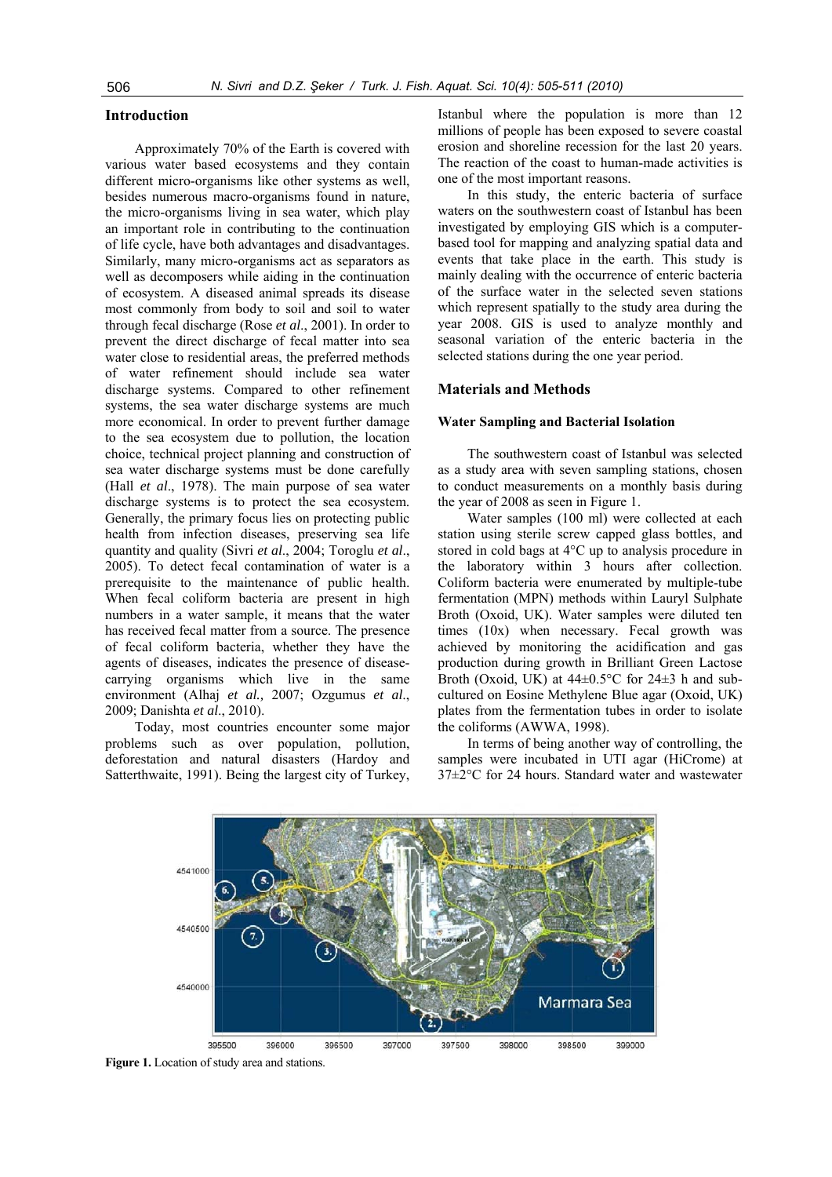## **Introduction**

Approximately 70% of the Earth is covered with various water based ecosystems and they contain different micro-organisms like other systems as well, besides numerous macro-organisms found in nature, the micro-organisms living in sea water, which play an important role in contributing to the continuation of life cycle, have both advantages and disadvantages. Similarly, many micro-organisms act as separators as well as decomposers while aiding in the continuation of ecosystem. A diseased animal spreads its disease most commonly from body to soil and soil to water through fecal discharge (Rose *et al*., 2001). In order to prevent the direct discharge of fecal matter into sea water close to residential areas, the preferred methods of water refinement should include sea water discharge systems. Compared to other refinement systems, the sea water discharge systems are much more economical. In order to prevent further damage to the sea ecosystem due to pollution, the location choice, technical project planning and construction of sea water discharge systems must be done carefully (Hall *et al*., 1978). The main purpose of sea water discharge systems is to protect the sea ecosystem. Generally, the primary focus lies on protecting public health from infection diseases, preserving sea life quantity and quality (Sivri *et al*., 2004; Toroglu *et al*., 2005). To detect fecal contamination of water is a prerequisite to the maintenance of public health. When fecal coliform bacteria are present in high numbers in a water sample, it means that the water has received fecal matter from a source. The presence of fecal coliform bacteria, whether they have the agents of diseases, indicates the presence of diseasecarrying organisms which live in the same environment (Alhaj *et al.,* 2007; Ozgumus *et al*., 2009; Danishta *et al*., 2010).

Today, most countries encounter some major problems such as over population, pollution, deforestation and natural disasters (Hardoy and Satterthwaite, 1991). Being the largest city of Turkey, Istanbul where the population is more than 12 millions of people has been exposed to severe coastal erosion and shoreline recession for the last 20 years. The reaction of the coast to human-made activities is one of the most important reasons.

In this study, the enteric bacteria of surface waters on the southwestern coast of Istanbul has been investigated by employing GIS which is a computerbased tool for mapping and analyzing spatial data and events that take place in the earth. This study is mainly dealing with the occurrence of enteric bacteria of the surface water in the selected seven stations which represent spatially to the study area during the year 2008. GIS is used to analyze monthly and seasonal variation of the enteric bacteria in the selected stations during the one year period.

### **Materials and Methods**

#### **Water Sampling and Bacterial Isolation**

The southwestern coast of Istanbul was selected as a study area with seven sampling stations, chosen to conduct measurements on a monthly basis during the year of 2008 as seen in Figure 1.

Water samples (100 ml) were collected at each station using sterile screw capped glass bottles, and stored in cold bags at 4°C up to analysis procedure in the laboratory within 3 hours after collection. Coliform bacteria were enumerated by multiple-tube fermentation (MPN) methods within Lauryl Sulphate Broth (Oxoid, UK). Water samples were diluted ten times (10x) when necessary. Fecal growth was achieved by monitoring the acidification and gas production during growth in Brilliant Green Lactose Broth (Oxoid, UK) at  $44\pm0.5^{\circ}$ C for  $24\pm3$  h and subcultured on Eosine Methylene Blue agar (Oxoid, UK) plates from the fermentation tubes in order to isolate the coliforms (AWWA, 1998).

In terms of being another way of controlling, the samples were incubated in UTI agar (HiCrome) at 37±2°C for 24 hours. Standard water and wastewater



**Figure 1.** Location of study area and stations.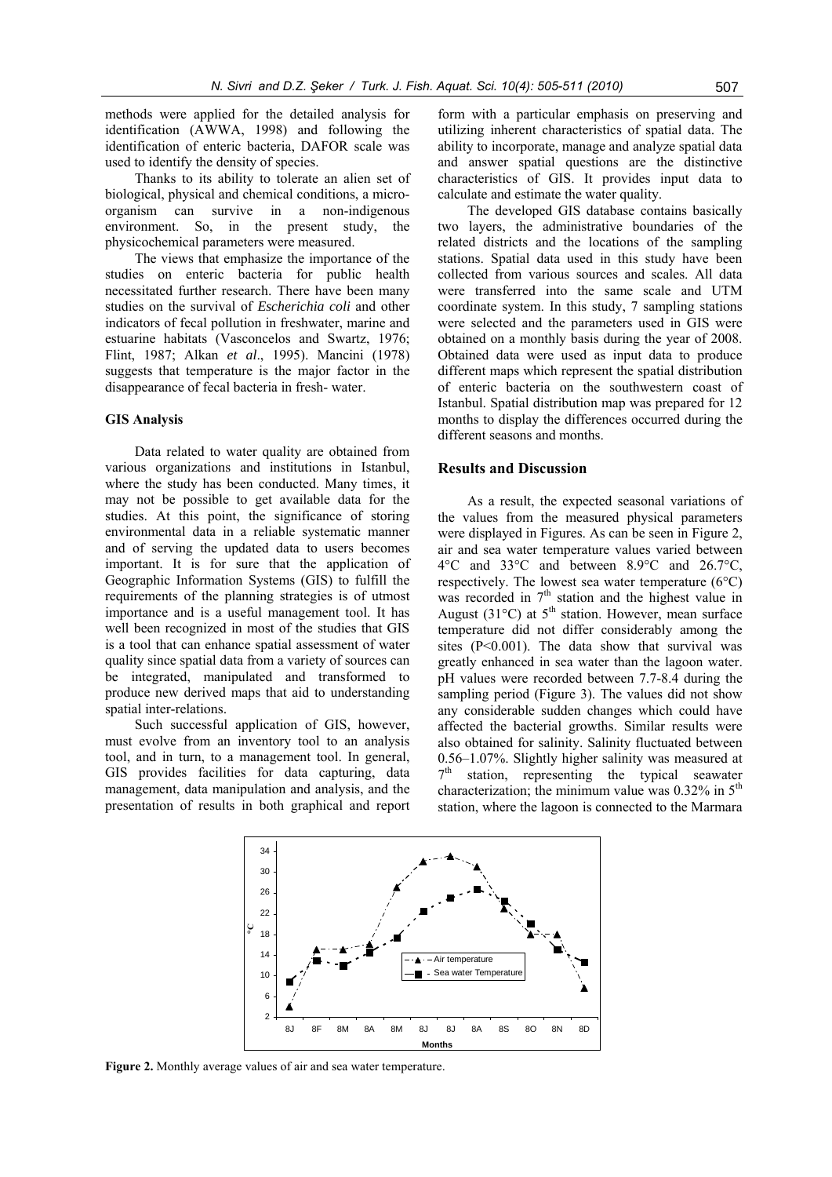methods were applied for the detailed analysis for identification (AWWA, 1998) and following the identification of enteric bacteria, DAFOR scale was used to identify the density of species.

Thanks to its ability to tolerate an alien set of biological, physical and chemical conditions, a microorganism can survive in a non-indigenous environment. So, in the present study, the physicochemical parameters were measured.

The views that emphasize the importance of the studies on enteric bacteria for public health necessitated further research. There have been many studies on the survival of *Escherichia coli* and other indicators of fecal pollution in freshwater, marine and estuarine habitats (Vasconcelos and Swartz, 1976; Flint, 1987; Alkan *et al*., 1995). Mancini (1978) suggests that temperature is the major factor in the disappearance of fecal bacteria in fresh- water.

## **GIS Analysis**

Data related to water quality are obtained from various organizations and institutions in Istanbul, where the study has been conducted. Many times, it may not be possible to get available data for the studies. At this point, the significance of storing environmental data in a reliable systematic manner and of serving the updated data to users becomes important. It is for sure that the application of Geographic Information Systems (GIS) to fulfill the requirements of the planning strategies is of utmost importance and is a useful management tool. It has well been recognized in most of the studies that GIS is a tool that can enhance spatial assessment of water quality since spatial data from a variety of sources can be integrated, manipulated and transformed to produce new derived maps that aid to understanding spatial inter-relations.

Such successful application of GIS, however, must evolve from an inventory tool to an analysis tool, and in turn, to a management tool. In general, GIS provides facilities for data capturing, data management, data manipulation and analysis, and the presentation of results in both graphical and report

form with a particular emphasis on preserving and utilizing inherent characteristics of spatial data. The ability to incorporate, manage and analyze spatial data and answer spatial questions are the distinctive characteristics of GIS. It provides input data to calculate and estimate the water quality.

The developed GIS database contains basically two layers, the administrative boundaries of the related districts and the locations of the sampling stations. Spatial data used in this study have been collected from various sources and scales. All data were transferred into the same scale and UTM coordinate system. In this study, 7 sampling stations were selected and the parameters used in GIS were obtained on a monthly basis during the year of 2008. Obtained data were used as input data to produce different maps which represent the spatial distribution of enteric bacteria on the southwestern coast of Istanbul. Spatial distribution map was prepared for 12 months to display the differences occurred during the different seasons and months.

## **Results and Discussion**

As a result, the expected seasonal variations of the values from the measured physical parameters were displayed in Figures. As can be seen in Figure 2, air and sea water temperature values varied between 4°C and 33°C and between 8.9°C and 26.7°C, respectively. The lowest sea water temperature (6°C) was recorded in 7<sup>th</sup> station and the highest value in August (31 $^{\circ}$ C) at 5<sup>th</sup> station. However, mean surface temperature did not differ considerably among the sites  $(P<0.001)$ . The data show that survival was greatly enhanced in sea water than the lagoon water. pH values were recorded between 7.7-8.4 during the sampling period (Figure 3). The values did not show any considerable sudden changes which could have affected the bacterial growths. Similar results were also obtained for salinity. Salinity fluctuated between 0.56–1.07%. Slightly higher salinity was measured at  $7<sup>th</sup>$  station representing the typical sequater station, representing the typical seawater characterization; the minimum value was  $0.32\%$  in  $5<sup>th</sup>$ station, where the lagoon is connected to the Marmara



**Figure 2.** Monthly average values of air and sea water temperature.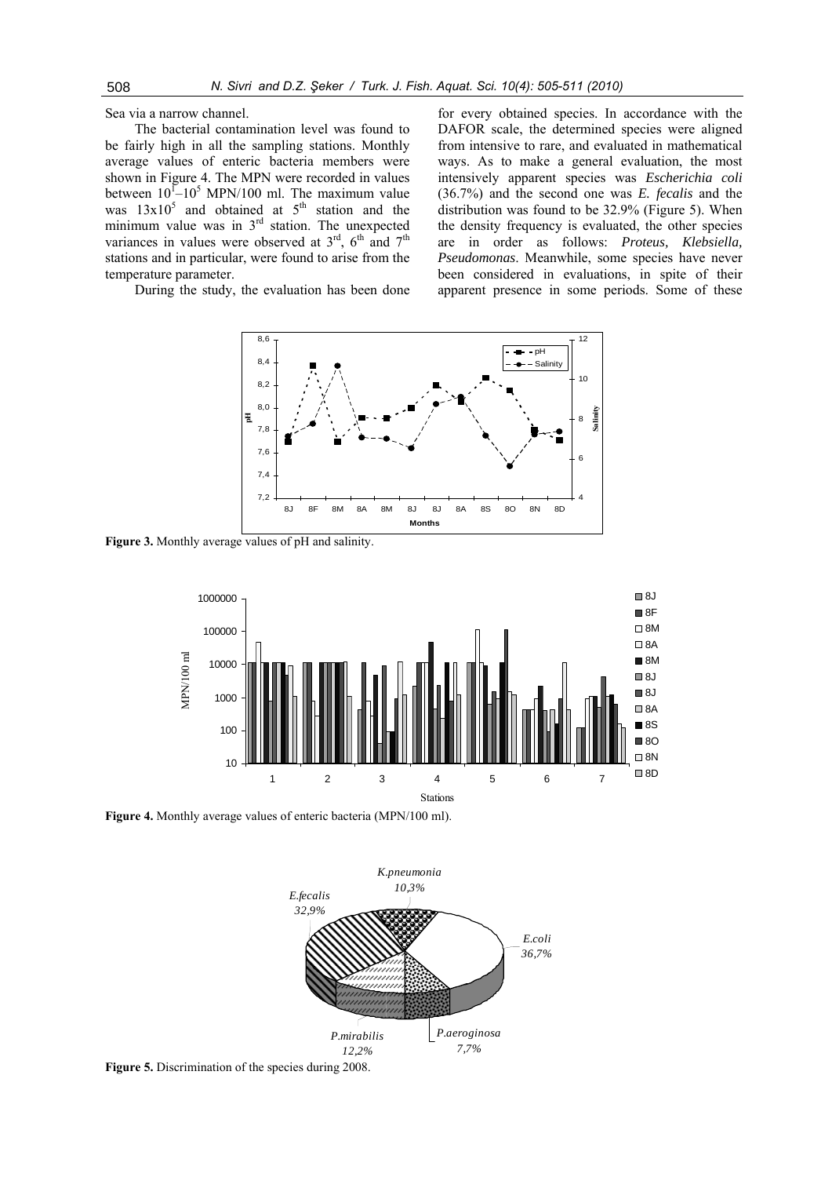Sea via a narrow channel.

The bacterial contamination level was found to be fairly high in all the sampling stations. Monthly average values of enteric bacteria members were shown in Figure 4. The MPN were recorded in values between  $10^{1}$ – $10^{5}$  MPN/100 ml. The maximum value was  $13x10^5$  and obtained at  $5^{th}$  station and the minimum value was in  $3<sup>rd</sup>$  station. The unexpected variances in values were observed at  $3<sup>rd</sup>$ ,  $6<sup>th</sup>$  and  $7<sup>th</sup>$ stations and in particular, were found to arise from the temperature parameter.

During the study, the evaluation has been done

for every obtained species. In accordance with the DAFOR scale, the determined species were aligned from intensive to rare, and evaluated in mathematical ways. As to make a general evaluation, the most intensively apparent species was *Escherichia coli*  (36.7%) and the second one was *E. fecalis* and the distribution was found to be 32.9% (Figure 5). When the density frequency is evaluated, the other species are in order as follows: *Proteus, Klebsiella, Pseudomonas*. Meanwhile, some species have never been considered in evaluations, in spite of their apparent presence in some periods. Some of these



**Figure 3.** Monthly average values of pH and salinity.



**Figure 4.** Monthly average values of enteric bacteria (MPN/100 ml).



**Figure 5.** Discrimination of the species during 2008.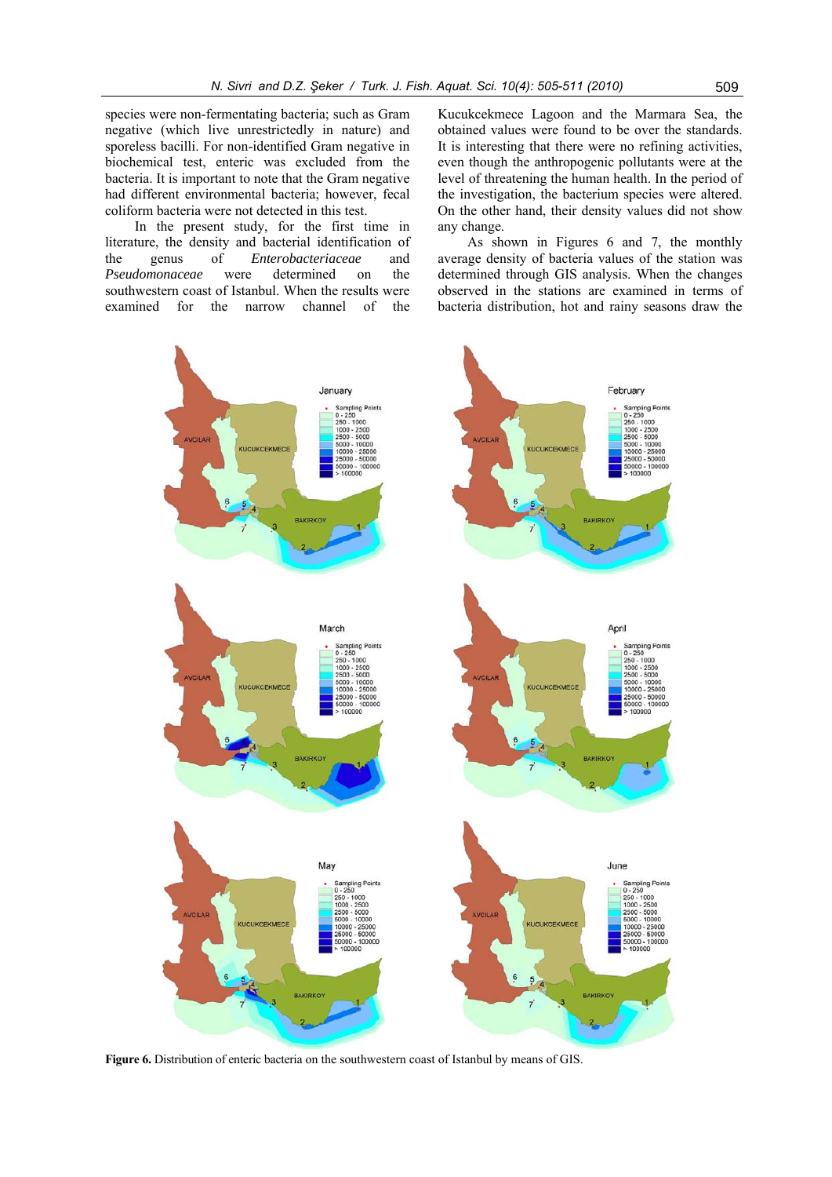species were non-fermentating bacteria; such as Gram negative (which live unrestrictedly in nature) and sporeless bacilli. For non-identified Gram negative in biochemical test, enteric was excluded from the bacteria. It is important to note that the Gram negative had different environmental bacteria; however, fecal coliform bacteria were not detected in this test.

In the present study, for the first time in literature, the density and bacterial identification of the genus of *Enterobacteriaceae* and *Pseudomonaceae* were determined on the southwestern coast of Istanbul. When the results were examined for the narrow channel of the

Kucukcekmece Lagoon and the Marmara Sea, the obtained values were found to be over the standards. It is interesting that there were no refining activities, even though the anthropogenic pollutants were at the level of threatening the human health. In the period of the investigation, the bacterium species were altered. On the other hand, their density values did not show any change.

As shown in Figures 6 and 7, the monthly average density of bacteria values of the station was determined through GIS analysis. When the changes observed in the stations are examined in terms of bacteria distribution, hot and rainy seasons draw the



**Figure 6.** Distribution of enteric bacteria on the southwestern coast of Istanbul by means of GIS.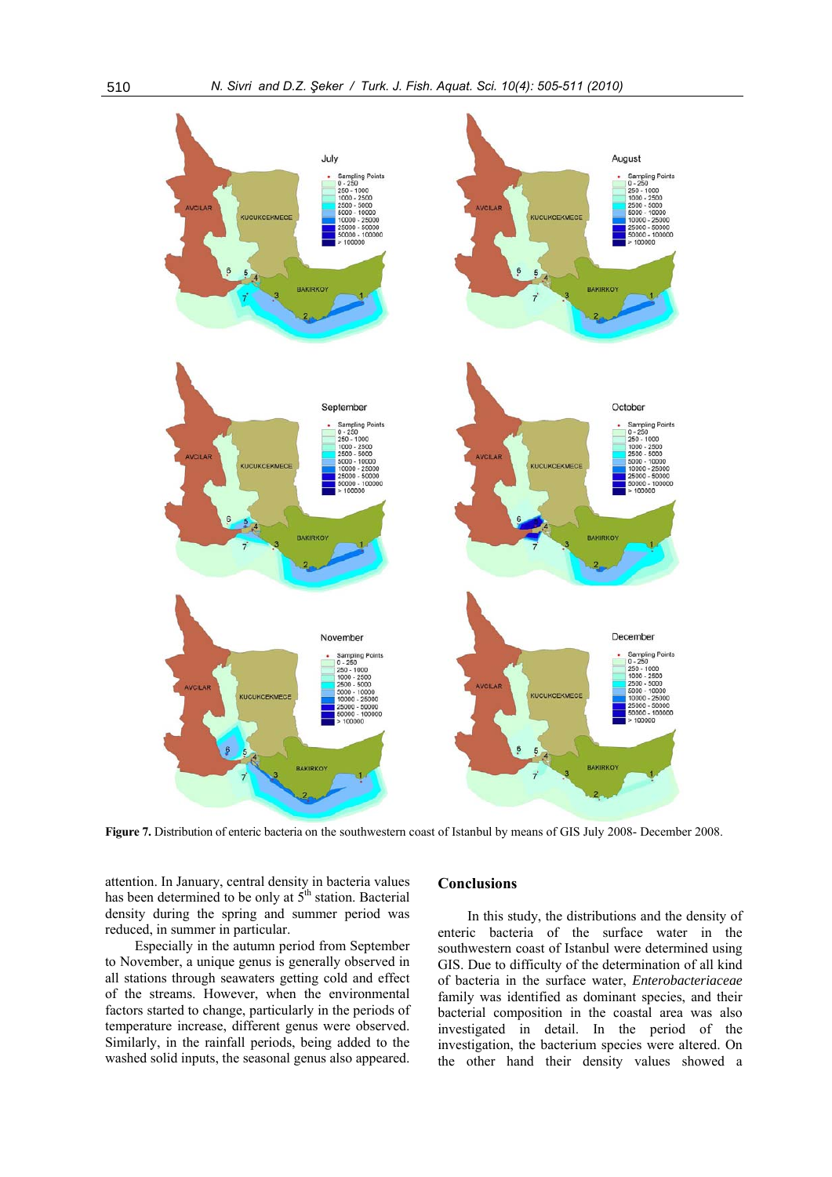

**Figure 7.** Distribution of enteric bacteria on the southwestern coast of Istanbul by means of GIS July 2008- December 2008.

attention. In January, central density in bacteria values has been determined to be only at  $5<sup>th</sup>$  station. Bacterial density during the spring and summer period was reduced, in summer in particular.

Especially in the autumn period from September to November, a unique genus is generally observed in all stations through seawaters getting cold and effect of the streams. However, when the environmental factors started to change, particularly in the periods of temperature increase, different genus were observed. Similarly, in the rainfall periods, being added to the washed solid inputs, the seasonal genus also appeared.

## **Conclusions**

In this study, the distributions and the density of enteric bacteria of the surface water in the southwestern coast of Istanbul were determined using GIS. Due to difficulty of the determination of all kind of bacteria in the surface water, *Enterobacteriaceae* family was identified as dominant species, and their bacterial composition in the coastal area was also investigated in detail. In the period of the investigation, the bacterium species were altered. On the other hand their density values showed a